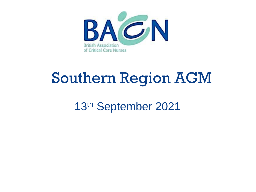

## Southern Region AGM

13th September 2021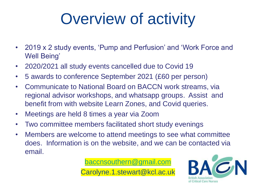# Overview of activity

- 2019 x 2 study events, 'Pump and Perfusion' and 'Work Force and Well Being'
- 2020/2021 all study events cancelled due to Covid 19
- 5 awards to conference September 2021 (£60 per person)
- Communicate to National Board on BACCN work streams, via regional advisor workshops, and whatsapp groups. Assist and benefit from with website Learn Zones, and Covid queries.
- Meetings are held 8 times a year via Zoom
- Two committee members facilitated short study evenings
- Members are welcome to attend meetings to see what committee does. Information is on the website, and we can be contacted via email.

[baccnsouthern@gmail.com](mailto:baccnsouthern@gmail.com)

Carolyne.1.stewart@kcl.ac.uk

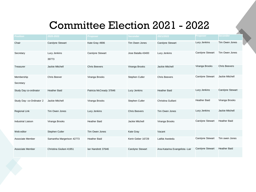#### Committee Election 2021 - 2022

| <b>Position</b>           | 2020-2022                 | <b>Proposer</b>         | <b>Seconder</b>      | 2021/2022                      | <b>Proposer</b>         | <b>Seconder</b>         |
|---------------------------|---------------------------|-------------------------|----------------------|--------------------------------|-------------------------|-------------------------|
| Chair                     | Carolyne Stewart          | Kate Gray 4906          | Tim Owen Jones       | Carolyne Stewart               | Lucy Jenkins            | Tim Owen Jones          |
| Secretary                 | Lucy Jenkins<br>39773     | Carolyne Stewart        | Jose Batalla 43400   | Lucy Jenkins                   | Carolyne Stewart        | Tim Owen Jones          |
| Treasurer                 | Jackie Mitchell           | <b>Chris Beevers</b>    | Viranga Brooks       | Jackie Mitchell                | Viranga Brooks          | <b>Chris Beevers</b>    |
| Membership<br>Secretary   | <b>Chris Beever</b>       | Viranga Brooks          | Stephen Cutler       | <b>Chris Beevers</b>           | Carolyne Stewart        | Jackie Mitchell         |
| Study Day co-ordinator    | <b>Heather Baid</b>       | Patricia McCready 37846 | Lucy Jenkins         | <b>Heather Baid</b>            | Lucy Jenkins            | <b>Carolyne Stewart</b> |
| Study Day- co-Ordinator 2 | Jackie Mitchell           | Viranga Brooks          | Stephen Cutler       | Christina Guiliani             | <b>Heather Baid</b>     | Viranga Brooks          |
| <b>Regional Link</b>      | Tim Owen Jones            | Lucy Jenkins            | <b>Chris Beevers</b> | Tim Owen Jones                 | Lucy Jenkins            | Jackie Mitchell         |
| <b>Industrial Liaison</b> | Viranga Brooks            | <b>Heather Baid</b>     | Jackie Mitchell      | Viranga Brooks                 | Carolyne Stewart        | <b>Heather Baid</b>     |
| Web editor                | Stephen Cutler            | Tim Owen Jones          | Kate Gray            | Vacant                         |                         |                         |
| Associate Member          | Samantha Margerison 42773 | <b>Heather Baid</b>     | Kerin Geber 16729    | Latifat Awotedu                | <b>Carolyne Stewart</b> | Tim owen Jones          |
| Associate Member          | Christina Giuliani 41951  | lan Nandrett 37646      | Carolyne Stewart     | Ana-Katarina Evangelista -Lair | <b>Carolyne Stewart</b> | <b>Heather Baid</b>     |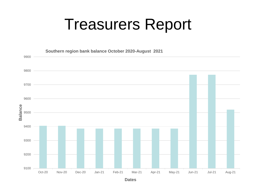### Treasurers Report



**Dates**